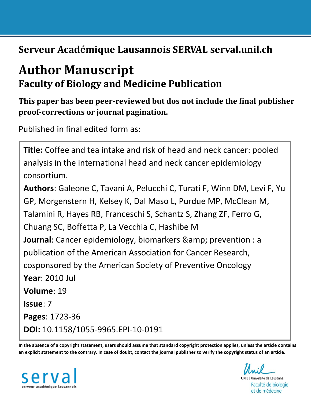**Serveur Académique Lausannois SERVAL serval.unil.ch**

# **Author Manuscript Faculty of Biology and Medicine Publication**

## **This paper has been peer-reviewed but dos not include the final publisher proof-corrections or journal pagination.**

Published in final edited form as:

**Title:** Coffee and tea intake and risk of head and neck cancer: pooled analysis in the international head and neck cancer epidemiology consortium. **Authors**: Galeone C, Tavani A, Pelucchi C, Turati F, Winn DM, Levi F, Yu GP, Morgenstern H, Kelsey K, Dal Maso L, Purdue MP, McClean M, Talamini R, Hayes RB, Franceschi S, Schantz S, Zhang ZF, Ferro G, Chuang SC, Boffetta P, La Vecchia C, Hashibe M **Journal**: Cancer epidemiology, biomarkers & amp; prevention : a publication of the American Association for Cancer Research, cosponsored by the American Society of Preventive Oncology **Year**: 2010 Jul **Volume**: 19 **Issue**: 7 **Pages**: 1723-36 **DOI:** [10.1158/1055-9965.EPI-10-0191](http://dx.doi.org/10.1158/1055-9965.EPI-10-0191)

**In the absence of a copyright statement, users should assume that standard copyright protection applies, unless the article contains an explicit statement to the contrary. In case of doubt, contact the journal publisher to verify the copyright status of an article.**



**UNIL** | Université de Lausanne Faculté de biologie et de médecine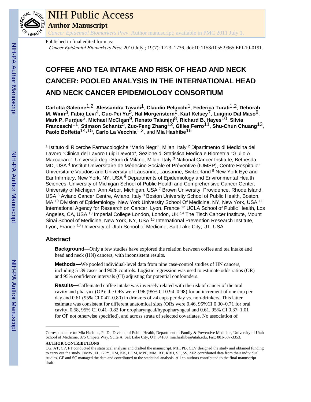

# NIH Public Access

**Author Manuscript**

*Cancer Epidemiol Biomarkers Prev*. Author manuscript; available in PMC 2011 July 1.

Published in final edited form as: Cancer Epidemiol Biomarkers Prev. 2010 July ; 19(7): 1723–1736. doi:10.1158/1055-9965.EPI-10-0191.

## **COFFEE AND TEA INTAKE AND RISK OF HEAD AND NECK CANCER: POOLED ANALYSIS IN THE INTERNATIONAL HEAD AND NECK CANCER EPIDEMIOLOGY CONSORTIUM**

**Carlotta Galeone**1,2, **Alessandra Tavani**1, **Claudio Pelucchi**1, **Federica Turati**1,2, **Deborah M. Winn**3, **Fabio Levi**4, **Guo-Pei Yu**5, **Hal Morgenstern**6, **Karl Kelsey**7, **Luigino Dal Maso**8, **Mark P. Purdue**3, **Michael McClean**9, **Renato Talamini**8, **Richard B. Hayes**10, **Silvia Franceschi**11, **Stimson Schantz**5, **Zuo-Feng Zhang**12, **Gilles Ferro**11, **Shu-Chun Chuang**13, **Paolo Boffetta**14,15, **Carlo La Vecchia**1,2, and **Mia Hashibe**16

<sup>1</sup> Istituto di Ricerche Farmacologiche "Mario Negri", Milan, Italy <sup>2</sup> Dipartimento di Medicina del Lavoro "Clinica del Lavoro Luigi Devoto", Sezione di Statistica Medica e Biometria "Giulio A. Maccacaro", Università degli Studi di Milano, Milan, Italy <sup>3</sup> National Cancer Institute, Bethesda, MD, USA<sup>4</sup> Institut Universitaire de Médecine Sociale et Préventive (IUMSP), Centre Hospitalier Universitaire Vaudois and University of Lausanne, Lausanne, Switzerland <sup>5</sup> New York Eye and Ear Infirmary, New York, NY, USA <sup>6</sup> Departments of Epidemiology and Environmental Health Sciences, University of Michigan School of Public Health and Comprehensive Cancer Center, University of Michigan, Ann Arbor, Michigan, USA<sup>7</sup> Brown University, Providence, Rhode Island, USA <sup>8</sup> Aviano Cancer Centre, Aviano, Italy <sup>9</sup> Boston University School of Public Health, Boston, MA <sup>10</sup> Division of Epidemiology, New York University School Of Medicine, NY, New York, USA <sup>11</sup> International Agency for Research on Cancer, Lyon, France <sup>12</sup> UCLA School of Public Health, Los Angeles, CA, USA <sup>13</sup> Imperial College London, London, UK <sup>14</sup> The Tisch Cancer Institute, Mount Sinai School of Medicine, New York, NY, USA <sup>15</sup> International Prevention Research Institute, Lyon, France <sup>16</sup> University of Utah School of Medicine, Salt Lake City, UT, USA

#### **Abstract**

**Background—**Only a few studies have explored the relation between coffee and tea intake and head and neck (HN) cancers, with inconsistent results.

**Methods—**We pooled individual-level data from nine case-control studies of HN cancers, including 5139 cases and 9028 controls. Logistic regression was used to estimate odds ratios (OR) and 95% confidence intervals (CI) adjusting for potential confounders.

**Results—**Caffeinated coffee intake was inversely related with the risk of cancer of the oral cavity and pharynx (OP): the ORs were 0.96 (95% CI 0.94–0.98) for an increment of one cup per day and 0.61 (95% CI 0.47–0.80) in drinkers of >4 cups per day vs. non-drinkers. This latter estimate was consistent for different anatomical sites (ORs were 0.46, 95%CI 0.30–0.71 for oral cavity, 0.58, 95% CI 0.41–0.82 for oropharyngeal/hypopharyngeal and 0.61, 95% CI 0.37–1.01 for OP not otherwise specified), and across strata of selected covariates. No association of

Correspondence to: Mia Hashibe, Ph.D., Division of Public Health, Department of Family & Preventive Medicine, University of Utah School of Medicine, 375 Chipeta Way, Suite A, Salt Lake City, UT, 84108, mia.hashibe@utah.edu, Fax: 801-587-3353. **AUTHOR CONTRIBUTIONS**

CG, AT, CP, FT conducted the statistical analysis and drafted the manuscript. MH, PB, CLV designed the study and obtained funding to carry out the study. DMW, FL, GPY, HM, KK, LDM, MPP, MM, RT, RBH, SF, SS, ZFZ contributed data from their individual studies. GF and SC managed the data and contributed to the statistical analysis. All co-authors contributed to the final manuscript draft.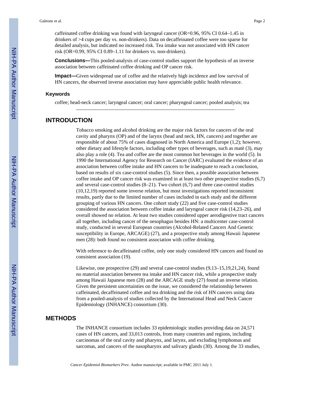caffeinated coffee drinking was found with laryngeal cancer (OR=0.96, 95% CI 0.64–1.45 in drinkers of >4 cups per day vs. non-drinkers). Data on decaffeinated coffee were too sparse for detailed analysis, but indicated no increased risk. Tea intake was not associated with HN cancer risk (OR=0.99, 95% CI 0.89–1.11 for drinkers vs. non-drinkers).

**Conclusions—**This pooled-analysis of case-control studies support the hypothesis of an inverse association between caffeinated coffee drinking and OP cancer risk.

**Impact—**Given widespread use of coffee and the relatively high incidence and low survival of HN cancers, the observed inverse association may have appreciable public health relevance.

#### **Keywords**

coffee; head-neck cancer; laryngeal cancer; oral cancer; pharyngeal cancer; pooled analysis; tea

#### **INTRODUCTION**

Tobacco smoking and alcohol drinking are the major risk factors for cancers of the oral cavity and pharynx (OP) and of the larynx (head and neck, HN, cancers) and together are responsible of about 75% of cases diagnosed in North America and Europe (1,2); however, other dietary and lifestyle factors, including other types of beverages, such as matè (3), may also play a role (4). Tea and coffee are the most common hot beverages in the world (5). In 1990 the International Agency for Research on Cancer (IARC) evaluated the evidence of an association between coffee intake and HN cancers to be inadequate to reach a conclusion, based on results of six case-control studies (5). Since then, a possible association between coffee intake and OP cancer risk was examined in at least two other prospective studies (6,7) and several case-control studies (8–21). Two cohort (6,7) and three case-control studies (10,12,19) reported some inverse relation, but most investigations reported inconsistent results, partly due to the limited number of cases included in each study and the different grouping of various HN cancers. One cohort study (22) and five case-control studies considered the association between coffee intake and laryngeal cancer risk (14,23–26), and overall showed no relation. At least two studies considered upper aerodigestive tract cancers all together, including cancer of the oesophagus besides HN: a multicenter case-control study, conducted in several European countries (Alcohol-Related Cancers And Genetic susceptibility in Europe, ARCAGE) (27), and a prospective study among Hawaii Japanese men (28): both found no consistent association with coffee drinking.

With reference to decaffeinated coffee, only one study considered HN cancers and found no consistent association (19).

Likewise, one prospective (29) and several case-control studies (9,13–15,19,21,24), found no material association between tea intake and HN cancer risk, while a prospective study among Hawaii Japanese men (28) and the ARCAGE study (27) found an inverse relation. Given the persistent uncertainties on the issue, we considered the relationship between caffeinated, decaffeinated coffee and tea drinking and the risk of HN cancers using data from a pooled-analysis of studies collected by the International Head and Neck Cancer Epidemiology (INHANCE) consortium (30).

#### **METHODS**

The INHANCE consortium includes 33 epidemiologic studies providing data on 24,571 cases of HN cancers, and 33,013 controls, from many countries and regions, including carcinomas of the oral cavity and pharynx, and larynx, and excluding lymphomas and sarcomas, and cancers of the nasopharynx and salivary glands (30). Among the 33 studies,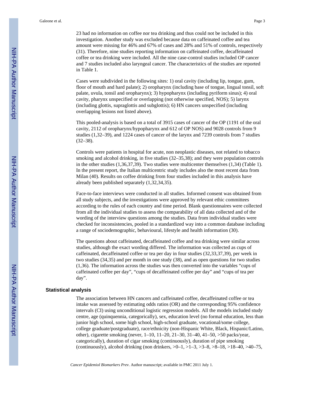23 had no information on coffee nor tea drinking and thus could not be included in this investigation. Another study was excluded because data on caffeinated coffee and tea amount were missing for 46% and 67% of cases and 28% and 51% of controls, respectively (31). Therefore, nine studies reporting information on caffeinated coffee, decaffeinated coffee or tea drinking were included. All the nine case-control studies included OP cancer and 7 studies included also laryngeal cancer. The characteristics of the studies are reported in Table 1.

Cases were subdivided in the following sites: 1) oral cavity (including lip, tongue, gum, floor of mouth and hard palate); 2) oropharynx (including base of tongue, lingual tonsil, soft palate, uvula, tonsil and oropharynx); 3) hypopharynx (including pyriform sinus); 4) oral cavity, pharynx unspecified or overlapping (not otherwise specified, NOS); 5) larynx (including glottis, supraglottis and subglottis); 6) HN cancers unspecified (including overlapping lesions not listed above).

This pooled-analysis is based on a total of 3915 cases of cancer of the OP (1191 of the oral cavity, 2112 of oropharynx/hypopharynx and 612 of OP NOS) and 9028 controls from 9 studies (1,32–39), and 1224 cases of cancer of the larynx and 7239 controls from 7 studies  $(32-38)$ .

Controls were patients in hospital for acute, non neoplastic diseases, not related to tobacco smoking and alcohol drinking, in five studies (32–35,38); and they were population controls in the other studies (1,36,37,39). Two studies were multicenter themselves (1,34) (Table 1). In the present report, the Italian multicentric study includes also the most recent data from Milan (40). Results on coffee drinking from four studies included in this analysis have already been published separately (1,32,34,35).

Face-to-face interviews were conducted in all studies. Informed consent was obtained from all study subjects, and the investigations were approved by relevant ethic committees according to the rules of each country and time period. Blank questionnaires were collected from all the individual studies to assess the comparability of all data collected and of the wording of the interview questions among the studies. Data from individual studies were checked for inconsistencies, pooled in a standardized way into a common database including a range of sociodemographic, behavioural, lifestyle and health information (30).

The questions about caffeinated, decaffeinated coffee and tea drinking were similar across studies, although the exact wording differed. The information was collected as cups of caffeinated, decaffeinated coffee or tea per day in four studies (32,33,37,39), per week in two studies (34,35) and per month in one study (38), and as open questions for two studies (1,36). The information across the studies was then converted into the variables "cups of caffeinated coffee per day", "cups of decaffeinated coffee per day" and "cups of tea per day".

#### **Statistical analysis**

The association between HN cancers and caffeinated coffee, decaffeinated coffee or tea intake was assessed by estimating odds ratios (OR) and the corresponding 95% confidence intervals (CI) using unconditional logistic regression models. All the models included study centre, age (quinquennia, categorically), sex, education level (no formal education, less than junior high school, some high school, high-school graduate, vocational/some college, college graduate/postgraduate), race/ethnicity (non-Hispanic White, Black, Hispanic/Latino, other), cigarette smoking (never, 1–10, 11–20, 21–30, 31–40, 41–50, >50 packs/year, categorically), duration of cigar smoking (continuously), duration of pipe smoking (continuously), alcohol drinking (non drinkers,  $>0-1$ ,  $>1-3$ ,  $>3-8$ ,  $>8-18$ ,  $>18-40$ ,  $>40-75$ ,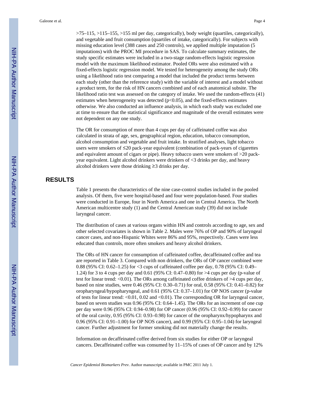>75–115, >115–155, >155 ml per day, categorically), body weight (quartiles, categorically), and vegetable and fruit consumption (quartiles of intake, categorically). For subjects with missing education level (388 cases and 250 controls), we applied multiple imputation (5 imputations) with the PROC MI procedure in SAS. To calculate summary estimates, the study specific estimates were included in a two-stage random-effects logistic regression model with the maximum likelihood estimator. Pooled ORs were also estimated with a fixed-effects logistic regression model. We tested for heterogeneity among the study ORs using a likelihood ratio test comparing a model that included the product terms between each study (other than the reference study) with the variable of interest and a model without a product term, for the risk of HN cancers combined and of each anatomical subsite. The likelihood ratio test was assessed on the category of intake. We used the random-effects (41) estimates when heterogeneity was detected  $(p<0.05)$ , and the fixed-effects estimates otherwise. We also conducted an influence analysis, in which each study was excluded one at time to ensure that the statistical significance and magnitude of the overall estimates were not dependent on any one study.

The OR for consumption of more than 4 cups per day of caffeinated coffee was also calculated in strata of age, sex, geographical region, education, tobacco consumption, alcohol consumption and vegetable and fruit intake. In stratified analyses, light tobacco users were smokers of ≤20 pack-year equivalent (combination of pack-years of cigarettes and equivalent amount of cigars or pipe). Heavy tobacco users were smokers of >20 packyear equivalent. Light alcohol drinkers were drinkers of <3 drinks per day, and heavy alcohol drinkers were those drinking ≥3 drinks per day.

#### **RESULTS**

Table 1 presents the characteristics of the nine case-control studies included in the pooled analysis. Of them, five were hospital-based and four were population-based. Four studies were conducted in Europe, four in North America and one in Central America. The North American multicentre study (1) and the Central American study (39) did not include laryngeal cancer.

The distribution of cases at various organs within HN and controls according to age, sex and other selected covariates is shown in Table 2. Males were 76% of OP and 90% of laryngeal cancer cases, and non-Hispanic Whites were 86% and 95%, respectively. Cases were less educated than controls, more often smokers and heavy alcohol drinkers.

The ORs of HN cancer for consumption of caffeinated coffee, decaffeinated coffee and tea are reported in Table 3. Compared with non drinkers, the ORs of OP cancer combined were 0.88 (95% CI: 0.62–1.25) for <3 cups of caffeinated coffee per day, 0.78 (95% CI: 0.49– 1.24) for 3 to 4 cups per day and 0.61 (95% CI: 0.47–0.80) for >4 cups per day (p-value of test for linear trend: <0.01). The ORs among caffeinated coffee drinkers of >4 cups per day, based on nine studies, were 0.46 (95% CI: 0.30–0.71) for oral, 0.58 (95% CI: 0.41–0.82) for oropharyngeal/hypopharyngeal, and 0.61 (95% CI: 0.37–1.01) for OP NOS cancer (p-value of tests for linear trend:  $\langle 0.01, 0.02 \rangle$  and  $\langle 0.01 \rangle$ . The corresponding OR for laryngeal cancer, based on seven studies was 0.96 (95% CI: 0.64–1.45). The ORs for an increment of one cup per day were 0.96 (95% CI: 0.94–0.98) for OP cancer (0.96 (95% CI: 0.92–0.99) for cancer of the oral cavity, 0.95 (95% CI: 0.93–0.98) for cancer of the oropharynx/hypopharynx and 0.96 (95% CI: 0.91–1.00) for OP NOS cancer), and 0.99 (95% CI: 0.95–1.04) for laryngeal cancer. Further adjustment for former smoking did not materially change the results.

Information on decaffeinated coffee derived from six studies for either OP or laryngeal cancers. Decaffeinated coffee was consumed by 11–15% of cases of OP cancer and by 12%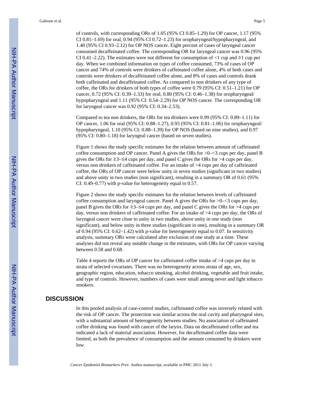of controls, with corresponding ORs of 1.05 (95% CI 0.85–1.29) for OP cancer, 1.17 (95% CI 0.81–1.69) for oral, 0.94 (95% CI 0.72–1.23) for oropharyngeal/hypopharyngeal, and 1.40 (95% CI 0.93–2.12) for OP NOS cancer. Eight percent of cases of laryngeal cancer consumed decaffeinated coffee. The corresponding OR for laryngeal cancer was 0.96 (95% CI 0.41–2.22). The estimates were not different for consumption of  $\leq 1$  cup and  $\geq 1$  cup per day. When we combined information on types of coffee consumed, 73% of cases of OP cancer and 74% of controls were drinkers of caffeinated coffee alone, 4% of both cases and controls were drinkers of decaffeinated coffee alone, and 8% of cases and controls drank both caffeinated and decaffeinated coffee. As compared to non drinkers of any type of coffee, the ORs for drinkers of both types of coffee were 0.79 (95% CI: 0.51–1.21) for OP cancer, 0.72 (95% CI: 0.39–1.33) for oral, 0.80 (95% CI: 0.46–1.38) for oropharyngeal/ hypopharyngeal and 1.11 (95% CI: 0.54–2.29) for OP NOS cancer. The corresponding OR for laryngeal cancer was 0.92 (95% CI: 0.34–2.53).

Compared to tea non drinkers, the ORs for tea drinkers were 0.99 (95% CI: 0.89–1.11) for OP cancer, 1.06 for oral (95% CI: 0.88–1.27), 0.93 (95% CI: 0.81–1.06) for oropharyngeal/ hypopharyngeal, 1.10 (95% CI: 0.88–1.39) for OP NOS (based on nine studies), and 0.97 (95% CI: 0.80–1.18) for laryngeal cancer (based on seven studies).

Figure 1 shows the study specific estimates for the relation between amount of caffeinated coffee consumption and OP cancer. Panel A gives the ORs for >0–<3 cups per day, panel B gives the ORs for  $\geq 3-\leq 4$  cups per day, and panel C gives the ORs for  $>4$  cups per day, versus non drinkers of caffeinated coffee. For an intake of >4 cups per day of caffeinated coffee, the ORs of OP cancer were below unity in seven studies (significant in two studies) and above unity in two studies (non significant), resulting in a summary OR of 0.61 (95% CI: 0.49–0.77) with p-value for heterogeneity equal to 0.57.

Figure 2 shows the study specific estimates for the relation between levels of caffeinated coffee consumption and laryngeal cancer. Panel A gives the ORs for >0–<3 cups per day, panel B gives the ORs for ≥3–≤4 cups per day, and panel C gives the ORs for >4 cups per day, versus non drinkers of caffeinated coffee. For an intake of >4 cups per day, the ORs of laryngeal cancer were close to unity in two studies, above unity in one study (non significant), and below unity in three studies (significant in one), resulting in a summary OR of 0.94 (95% CI: 0.62–1.42) with p-value for heterogeneity equal to 0.07. In sensitivity analysis, summary ORs were calculated after exclusion of one study at a time. These analyses did not reveal any notable change in the estimates, with ORs for OP cancer varying between 0.58 and 0.68.

Table 4 reports the ORs of OP cancer for caffeinated coffee intake of >4 cups per day in strata of selected covariates. There was no heterogeneity across strata of age, sex, geographic region, education, tobacco smoking, alcohol drinking, vegetable and fruit intake, and type of controls. However, numbers of cases were small among never and light tobacco smokers.

#### **DISCUSSION**

In this pooled analysis of case-control studies, caffeinated coffee was inversely related with the risk of OP cancer. The protection was similar across the oral cavity and pharyngeal sites, with a substantial amount of heterogeneity between studies. No association of caffeinated coffee drinking was found with cancer of the larynx. Data on decaffeinated coffee and tea indicated a lack of material association. However, for decaffeinated coffee data were limited, as both the prevalence of consumption and the amount consumed by drinkers were low.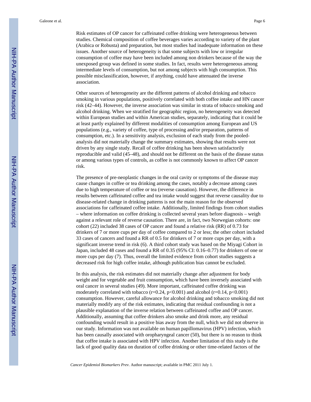Galeone et al. Page 6

Risk estimates of OP cancer for caffeinated coffee drinking were heterogeneous between studies. Chemical composition of coffee beverages varies according to variety of the plant (Arabica or Robusta) and preparation, but most studies had inadequate information on these issues. Another source of heterogeneity is that some subjects with low or irregular consumption of coffee may have been included among non drinkers because of the way the unexposed group was defined in some studies. In fact, results were heterogeneous among intermediate levels of consumption, but not among subjects with high consumption. This possible misclassification, however, if anything, could have attenuated the inverse association.

Other sources of heterogeneity are the different patterns of alcohol drinking and tobacco smoking in various populations, positively correlated with both coffee intake and HN cancer risk (42–44). However, the inverse association was similar in strata of tobacco smoking and alcohol drinking. When we stratified for geographic region, no heterogeneity was detected within European studies and within American studies, separately, indicating that it could be at least partly explained by different modalities of consumption among European and US populations (e.g., variety of coffee, type of processing and/or preparation, patterns of consumption, etc.). In a sensitivity analysis, exclusion of each study from the pooledanalysis did not materially change the summary estimates, showing that results were not driven by any single study. Recall of coffee drinking has been shown satisfactorily reproducible and valid (45–48), and should not be different on the basis of the disease status or among various types of controls, as coffee is not commonly known to affect OP cancer risk.

The presence of pre-neoplastic changes in the oral cavity or symptoms of the disease may cause changes in coffee or tea drinking among the cases, notably a decrease among cases due to high temperature of coffee or tea (reverse causation). However, the difference in results between caffeinated coffee and tea intake would suggest that reverse causality due to disease-related change in drinking patterns is not the main reason for the observed associations for caffeinated coffee intake. Additionally, limited findings from cohort studies – where information on coffee drinking is collected several years before diagnosis – weigh against a relevant role of reverse causation. There are, in fact, two Norwegian cohorts: one cohort (22) included 38 cases of OP cancer and found a relative risk (RR) of 0.73 for drinkers of 7 or more cups per day of coffee compared to 2 or less; the other cohort included 33 cases of cancers and found a RR of 0.5 for drinkers of 7 or more cups per day, with a significant inverse trend in risk (6). A third cohort study was based on the Miyagi Cohort in Japan, included 48 cases and found a RR of 0.35 (95% CI: 0.16–0.77) for drinkers of one or more cups per day (7). Thus, overall the limited evidence from cohort studies suggests a decreased risk for high coffee intake, although publication bias cannot be excluded.

In this analysis, the risk estimates did not materially change after adjustment for body weight and for vegetable and fruit consumption, which have been inversely associated with oral cancer in several studies (49). More important, caffeinated coffee drinking was moderately correlated with tobacco ( $r=0.24$ ,  $p<0.001$ ) and alcohol ( $r=0.14$ ,  $p<0.001$ ) consumption. However, careful allowance for alcohol drinking and tobacco smoking did not materially modify any of the risk estimates, indicating that residual confounding is not a plausible explanation of the inverse relation between caffeinated coffee and OP cancer. Additionally, assuming that coffee drinkers also smoke and drink more, any residual confounding would result in a positive bias away from the null, which we did not observe in our study. Information was not available on human papillomavirus (HPV) infection, which has been causally associated with oropharyngeal cancer (50), but there is no reason to think that coffee intake is associated with HPV infection. Another limitation of this study is the lack of good quality data on duration of coffee drinking or other time-related factors of the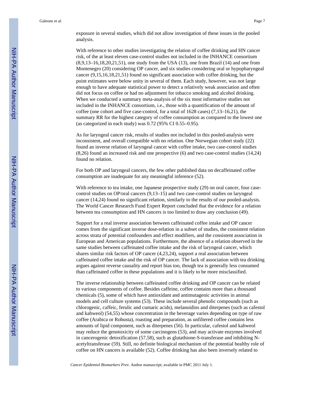exposure in several studies, which did not allow investigation of these issues in the pooled analysis.

With reference to other studies investigating the relation of coffee drinking and HN cancer risk, of the at least eleven case-control studies not included in the INHANCE consortium (8,9,13–16,18,20,21,51), one study from the USA (13), one from Brazil (14) and one from Montenegro (20) considering OP cancer, and six studies considering oral or hypopharyngeal cancer (9,15,16,18,21,51) found no significant association with coffee drinking, but the point estimates were below unity in several of them. Each study, however, was not large enough to have adequate statistical power to detect a relatively weak association and often did not focus on coffee or had no adjustment for tobacco smoking and alcohol drinking. When we conducted a summary meta-analysis of the six most informative studies not included in the INHANCE consortium, i.e., those with a quantification of the amount of coffee (one cohort and five case-control, for a total of 1628 cases) (7,13–16,21), the summary RR for the highest category of coffee consumption as compared to the lowest one (as categorized in each study) was 0.72 (95% CI 0.55–0.95).

As for laryngeal cancer risk, results of studies not included in this pooled-analysis were inconsistent, and overall compatible with no relation. One Norwegian cohort study (22) found an inverse relation of laryngeal cancer with coffee intake, two case-control studies (8,26) found an increased risk and one prospective (6) and two case-control studies (14,24) found no relation.

For both OP and laryngeal cancers, the few other published data on decaffeinated coffee consumption are inadequate for any meaningful inference (52).

With reference to tea intake, one Japanese prospective study (29) on oral cancer, four casecontrol studies on OP/oral cancers (9,13–15) and two case-control studies on laryngeal cancer (14,24) found no significant relation, similarly to the results of our pooled-analysis. The World Cancer Research Fund Expert Report concluded that the evidence for a relation between tea consumption and HN cancers is too limited to draw any conclusion (49).

Support for a real inverse association between caffeinated coffee intake and OP cancer comes from the significant inverse dose-relation in a subset of studies, the consistent relation across strata of potential confounders and effect modifiers, and the consistent association in European and American populations. Furthermore, the absence of a relation observed in the same studies between caffeinated coffee intake and the risk of laryngeal cancer, which shares similar risk factors of OP cancer (4,23,24), support a real association between caffeinated coffee intake and the risk of OP cancer. The lack of association with tea drinking argues against reverse causality and report bias too, though tea is generally less consumed than caffeinated coffee in these populations and it is likely to be more misclassified.

The inverse relationship between caffeinated coffee drinking and OP cancer can be related to various components of coffee. Besides caffeine, coffee contains more than a thousand chemicals (5), some of which have antioxidant and antimutagenic activities in animal models and cell culture systems (53). These include several phenolic compounds (such as chlorogenic, caffeic, ferulic and cumaric acids), melanoidins and diterpenes (such as cafestol and kahweol) (54,55) whose concentration in the beverage varies depending on type of raw coffee (Arabica or Robusta), roasting and preparation, as unfiltered coffee contains less amounts of lipid component, such as diterpenes (56). In particular, cafestol and kahweol may reduce the genotoxicity of some carcinogens (53), and may activate enzymes involved in cancerogenic detoxification (57,58), such as glutathione-S-transferase and inhibiting Nacetyltransferase (59). Still, no definite biological mechanism of the potential healthy role of coffee on HN cancers is available (52). Coffee drinking has also been inversely related to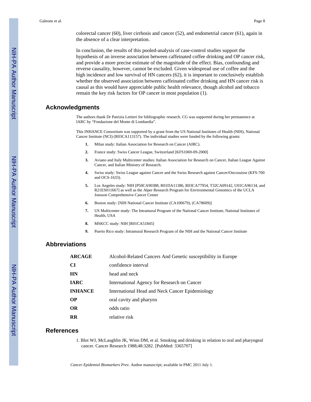In conclusion, the results of this pooled-analysis of case-control studies support the hypothesis of an inverse association between caffeinated coffee drinking and OP cancer risk, and provide a more precise estimate of the magnitude of the effect. Bias, confounding and reverse causality, however, cannot be excluded. Given widespread use of coffee and the high incidence and low survival of HN cancers (62), it is important to conclusively establish whether the observed association between caffeinated coffee drinking and HN cancer risk is causal as this would have appreciable public health relevance, though alcohol and tobacco remain the key risk factors for OP cancer in most population (1).

#### **Acknowledgments**

The authors thank Dr Patrizia Lettieri for bibliographic research. CG was supported during her permanence at IARC by "Fondazione del Monte di Lombardia".

This INHANCE Consortium was supported by a grant from the US National Institutes of Health (NIH), National Cancer Institute (NCI) (R03CA113157). The individual studies were funded by the following grants:

- **1.** Milan study: Italian Association for Research on Cancer (AIRC).
- **2.** France study: Swiss Cancer League, Switzerland [KFS1069-09-2000]
- **3.** Aviano and Italy Multicenter studies: Italian Association for Research on Cancer, Italian League Against Cancer, and Italian Ministry of Research.
- **4.** Swiss study: Swiss League against Cancer and the Swiss Research against Cancer/Oncosuisse (KFS-700 and OCS-1633).
- **5.** Los Angeles study: NIH [P50CA90388, R01DA11386, R03CA77954, T32CA09142, U01CA96134, and R21ES011667] as well as the Alper Research Program for Environmental Genomics of the UCLA Jonsson Comprehensive Cancer Center
- **6.** Boston study: [NIH National Cancer Institute (CA100679), (CA78609)]
- **7.** US Multicenter study: The Intramural Program of the National Cancer Institute, National Institutes of Health, USA
- **8.** MSKCC study: NIH [R01CA51845]
- **9.** Puerto Rico study: Intramural Research Program of the NIH and the National Cancer Institute

#### **Abbreviations**

| <b>ARCAGE</b>  | Alcohol-Related Cancers And Genetic susceptibility in Europe |
|----------------|--------------------------------------------------------------|
| <b>CI</b>      | confidence interval                                          |
| <b>HN</b>      | head and neck                                                |
| <b>IARC</b>    | International Agency for Research on Cancer                  |
| <b>INHANCE</b> | International Head and Neck Cancer Epidemiology              |
| <b>OP</b>      | oral cavity and pharynx                                      |
| <b>OR</b>      | odds ratio                                                   |
| <b>RR</b>      | relative risk                                                |
|                |                                                              |

#### **References**

1. Blot WJ, McLaughlin JK, Winn DM, et al. Smoking and drinking in relation to oral and pharyngeal cancer. Cancer Research 1988;48:3282. [PubMed: 3365707]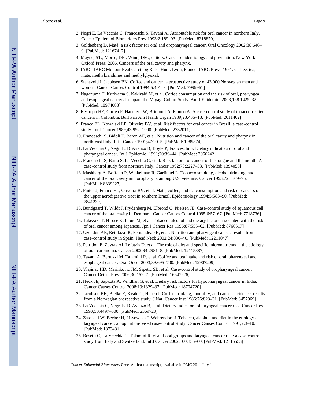- 2. Negri E, La Vecchia C, Franceschi S, Tavani A. Attributable risk for oral cancer in northern Italy. Cancer Epidemiol Biomarkers Prev 1993;2:189–93. [PubMed: 8318870]
- 3. Goldenberg D. Maté: a risk factor for oral and oropharyngeal cancer. Oral Oncology 2002;38:646– 9. [PubMed: 12167417]
- 4. Mayne, ST.; Morse, DE.; Winn, DM., editors. Cancer epidemiology and prevention. New York: Oxford Press; 2006. Cancers of the oral cavity and pharynx.
- 5. IARC. IARC Monogr Eval Carcinog Risks Hum. Lyon, France: IARC Press; 1991. Coffee, tea, mate, methylxanthines and methylglyoxal.
- 6. Stensvold I, Jacobsen BK. Coffee and cancer: a prospective study of 43,000 Norwegian men and women. Cancer Causes Control 1994;5:401–8. [PubMed: 7999961]
- 7. Naganuma T, Kuriyama S, Kakizaki M, et al. Coffee consumption and the risk of oral, pharyngeal, and esophageal cancers in Japan: the Miyagi Cohort Study. Am J Epidemiol 2008;168:1425–32. [PubMed: 18974083]
- 8. Restrepo HE, Correa P, Haenszel W, Brinton LA, Franco A. A case-control study of tobacco-related cancers in Colombia. Bull Pan Am Health Organ 1989;23:405–13. [PubMed: 2611462]
- 9. Franco EL, Kowalski LP, Oliveira BV, et al. Risk factors for oral cancer in Brazil: a case-control study. Int J Cancer 1989;43:992–1000. [PubMed: 2732011]
- 10. Franceschi S, Bidoli E, Baron AE, et al. Nutrition and cancer of the oral cavity and pharynx in north-east Italy. Int J Cancer 1991;47:20–5. [PubMed: 1985874]
- 11. La Vecchia C, Negri E, D'Avanzo B, Boyle P, Franceschi S. Dietary indicators of oral and pharyngeal cancer. Int J Epidemiol 1991;20:39–44. [PubMed: 2066242]
- 12. Franceschi S, Barra S, La Vecchia C, et al. Risk factors for cancer of the tongue and the mouth. A case-control study from northern Italy. Cancer 1992;70:2227–33. [PubMed: 1394055]
- 13. Mashberg A, Boffetta P, Winkelman R, Garfinkel L. Tobacco smoking, alcohol drinking, and cancer of the oral cavity and oropharynx among U.S. veterans. Cancer 1993;72:1369–75. [PubMed: 8339227]
- 14. Pintos J, Franco EL, Oliveira BV, et al. Mate, coffee, and tea consumption and risk of cancers of the upper aerodigestive tract in southern Brazil. Epidemiology 1994;5:583–90. [PubMed: 7841239]
- 15. Bundgaard T, Wildt J, Frydenberg M, Elbrond O, Nielsen JE. Case-control study of squamous cell cancer of the oral cavity in Denmark. Cancer Causes Control 1995;6:57–67. [PubMed: 7718736]
- 16. Takezaki T, Hirose K, Inoue M, et al. Tobacco, alcohol and dietary factors associated with the risk of oral cancer among Japanese. Jpn J Cancer Res 1996;87:555–62. [PubMed: 8766517]
- 17. Uzcudun AE, Retolaza IR, Fernandez PB, et al. Nutrition and pharyngeal cancer: results from a case-control study in Spain. Head Neck 2002;24:830–40. [PubMed: 12211047]
- 18. Petridou E, Zavras AI, Lefatzis D, et al. The role of diet and specific micronutrients in the etiology of oral carcinoma. Cancer 2002;94:2981–8. [PubMed: 12115387]
- 19. Tavani A, Bertuzzi M, Talamini R, et al. Coffee and tea intake and risk of oral, pharyngeal and esophageal cancer. Oral Oncol 2003;39:695–700. [PubMed: 12907209]
- 20. Vlajinac HD, Marinkovic JM, Sipetic SB, et al. Case-control study of oropharyngeal cancer. Cancer Detect Prev 2006;30:152–7. [PubMed: 16647226]
- 21. Heck JE, Sapkota A, Vendhan G, et al. Dietary risk factors for hypopharyngeal cancer in India. Cancer Causes Control 2008;19:1329–37. [PubMed: 18704720]
- 22. Jacobsen BK, Bjelke E, Kvale G, Heuch I. Coffee drinking, mortality, and cancer incidence: results from a Norwegian prospective study. J Natl Cancer Inst 1986;76:823–31. [PubMed: 3457969]
- 23. La Vecchia C, Negri E, D'Avanzo B, et al. Dietary indicators of laryngeal cancer risk. Cancer Res 1990;50:4497–500. [PubMed: 2369728]
- 24. Zatonski W, Becher H, Lissowska J, Wahrendorf J. Tobacco, alcohol, and diet in the etiology of laryngeal cancer: a population-based case-control study. Cancer Causes Control 1991;2:3–10. [PubMed: 1873431]
- 25. Bosetti C, La Vecchia C, Talamini R, et al. Food groups and laryngeal cancer risk: a case-control study from Italy and Switzerland. Int J Cancer 2002;100:355–60. [PubMed: 12115553]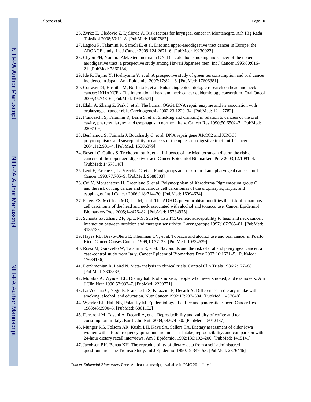- 26. Zvrko E, Gledovic Z, Ljaljevic A. Risk factors for laryngeal cancer in Montenegro. Arh Hig Rada Toksikol 2008;59:11–8. [PubMed: 18407867]
- 27. Lagiou P, Talamini R, Samoli E, et al. Diet and upper-aerodigestive tract cancer in Europe: the ARCAGE study. Int J Cancer 2009;124:2671–6. [PubMed: 19230023]
- 28. Chyou PH, Nomura AM, Stemmermann GN. Diet, alcohol, smoking and cancer of the upper aerodigestive tract: a prospective study among Hawaii Japanese men. Int J Cancer 1995;60:616– 21. [PubMed: 7860134]
- 29. Ide R, Fujino Y, Hoshiyama Y, et al. A prospective study of green tea consumption and oral cancer incidence in Japan. Ann Epidemiol 2007;17:821–6. [PubMed: 17606381]
- 30. Conway DI, Hashibe M, Boffetta P, et al. Enhancing epidemiologic research on head and neck cancer: INHANCE - The international head and neck cancer epidemiology consortium. Oral Oncol 2009;45:743–6. [PubMed: 19442571]
- 31. Elahi A, Zheng Z, Park J, et al. The human OGG1 DNA repair enzyme and its association with orolaryngeal cancer risk. Carcinogenesis 2002;23:1229–34. [PubMed: 12117782]
- 32. Franceschi S, Talamini R, Barra S, et al. Smoking and drinking in relation to cancers of the oral cavity, pharynx, larynx, and esophagus in northern Italy. Cancer Res 1990;50:6502–7. [PubMed: 2208109]
- 33. Benhamou S, Tuimala J, Bouchardy C, et al. DNA repair gene XRCC2 and XRCC3 polymorphisms and susceptibility to cancers of the upper aerodigestive tract. Int J Cancer 2004;112:901–4. [PubMed: 15386379]
- 34. Bosetti C, Gallus S, Trichopoulou A, et al. Influence of the Mediterranean diet on the risk of cancers of the upper aerodigestive tract. Cancer Epidemiol Biomarkers Prev 2003;12:1091–4. [PubMed: 14578148]
- 35. Levi F, Pasche C, La Vecchia C, et al. Food groups and risk of oral and pharyngeal cancer. Int J Cancer 1998;77:705–9. [PubMed: 9688303]
- 36. Cui Y, Morgenstern H, Greenland S, et al. Polymorphism of Xeroderma Pigmentosum group G and the risk of lung cancer and squamous cell carcinomas of the oropharynx, larynx and esophagus. Int J Cancer 2006;118:714–20. [PubMed: 16094634]
- 37. Peters ES, McClean MD, Liu M, et al. The ADH1C polymorphism modifies the risk of squamous cell carcinoma of the head and neck associated with alcohol and tobacco use. Cancer Epidemiol Biomarkers Prev 2005;14:476–82. [PubMed: 15734975]
- 38. Schantz SP, Zhang ZF, Spitz MS, Sun M, Hsu TC. Genetic susceptibility to head and neck cancer: interaction between nutrition and mutagen sensitivity. Laryngoscope 1997;107:765–81. [PubMed: 9185733]
- 39. Hayes RB, Bravo-Otero E, Kleinman DV, et al. Tobacco and alcohol use and oral cancer in Puerto Rico. Cancer Causes Control 1999;10:27–33. [PubMed: 10334639]
- 40. Rossi M, Garavello W, Talamini R, et al. Flavonoids and the risk of oral and pharyngeal cancer: a case-control study from Italy. Cancer Epidemiol Biomarkers Prev 2007;16:1621–5. [PubMed: 17684136]
- 41. DerSimonian R, Laird N. Meta-analysis in clinical trials. Control Clin Trials 1986;7:177–88. [PubMed: 3802833]
- 42. Morabia A, Wynder EL. Dietary habits of smokers, people who never smoked, and exsmokers. Am J Clin Nutr 1990;52:933–7. [PubMed: 2239771]
- 43. La Vecchia C, Negri E, Franceschi S, Parazzini F, Decarli A. Differences in dietary intake with smoking, alcohol, and education. Nutr Cancer 1992;17:297–304. [PubMed: 1437648]
- 44. Wynder EL, Hall NE, Polansky M. Epidemiology of coffee and pancreatic cancer. Cancer Res 1983;43:3900–6. [PubMed: 6861152]
- 45. Ferraroni M, Tavani A, Decarli A, et al. Reproducibility and validity of coffee and tea consumption in Italy. Eur J Clin Nutr 2004;58:674–80. [PubMed: 15042137]
- 46. Munger RG, Folsom AR, Kushi LH, Kaye SA, Sellers TA. Dietary assessment of older Iowa women with a food frequency questionnaire: nutrient intake, reproducibility, and comparison with 24-hour dietary recall interviews. Am J Epidemiol 1992;136:192–200. [PubMed: 1415141]
- 47. Jacobsen BK, Bonaa KH. The reproducibility of dietary data from a self-administered questionnaire. The Tromso Study. Int J Epidemiol 1990;19:349–53. [PubMed: 2376446]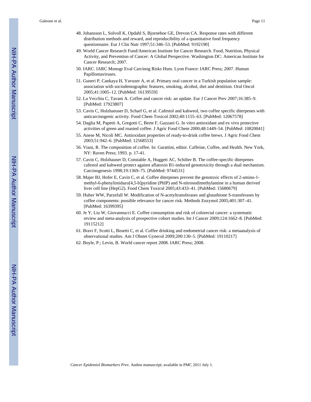Galeone et al. Page 11

- 48. Johansson L, Solvoll K, Opdahl S, Bjorneboe GE, Drevon CA. Response rates with different distribution methods and reward, and reproducibility of a quantitative food frequency questionnaire. Eur J Clin Nutr 1997;51:346–53. [PubMed: 9192190]
- 49. World Cancer Research Fund/American Institute for Cancer Research. Food, Nutrition, Physical Activity, and Prevention of Cancer: A Global Perspective. Washington DC: American Institute for Cancer Research; 2007.
- 50. IARC. IARC Monogr Eval Carcinog Risks Hum. Lyon France: IARC Press; 2007. Human Papillomaviruses.
- 51. Guneri P, Cankaya H, Yavuzer A, et al. Primary oral cancer in a Turkish population sample: association with sociodemographic features, smoking, alcohol, diet and dentition. Oral Oncol 2005;41:1005–12. [PubMed: 16139559]
- 52. La Vecchia C, Tavani A. Coffee and cancer risk: an update. Eur J Cancer Prev 2007;16:385–9. [PubMed: 17923807]
- 53. Cavin C, Holzhaeuser D, Scharf G, et al. Cafestol and kahweol, two coffee specific diterpenes with anticarcinogenic activity. Food Chem Toxicol 2002;40:1155–63. [PubMed: 12067578]
- 54. Daglia M, Papetti A, Gregotti C, Berte F, Gazzani G. In vitro antioxidant and ex vivo protective activities of green and roasted coffee. J Agric Food Chem 2000;48:1449–54. [PubMed: 10820041]
- 55. Anese M, Nicoli MC. Antioxidant properties of ready-to-drink coffee brews. J Agric Food Chem 2003;51:942–6. [PubMed: 12568553]
- 56. Viani, R. The composition of coffee. In: Garattini, editor. Caffeine, Coffee, and Health. New York, NY: Raven Press; 1993. p. 17-41.
- 57. Cavin C, Holzhauser D, Constable A, Huggett AC, Schilter B. The coffee-specific diterpenes cafestol and kahweol protect against aflatoxin B1-induced genotoxicity through a dual mechanism. Carcinogenesis 1998;19:1369–75. [PubMed: 9744531]
- 58. Majer BJ, Hofer E, Cavin C, et al. Coffee diterpenes prevent the genotoxic effects of 2-amino-1 methyl-6-phenylimidazo[4,5-b]pyridine (PhIP) and N-nitrosodimethylamine in a human derived liver cell line (HepG2). Food Chem Toxicol 2005;43:433–41. [PubMed: 15680679]
- 59. Huber WW, Parzefall W. Modification of N-acetyltransferases and glutathione S-transferases by coffee components: possible relevance for cancer risk. Methods Enzymol 2005;401:307–41. [PubMed: 16399395]
- 60. Je Y, Liu W, Giovannucci E. Coffee consumption and risk of colorectal cancer: a systematic review and meta-analysis of prospective cohort studies. Int J Cancer 2009;124:1662–8. [PubMed: 19115212]
- 61. Bravi F, Scotti L, Bosetti C, et al. Coffee drinking and endometrial cancer risk: a metaanalysis of observational studies. Am J Obstet Gynecol 2009;200:130–5. [PubMed: 19110217]
- 62. Boyle, P.; Levin, B. World cancer report 2008. IARC Press; 2008.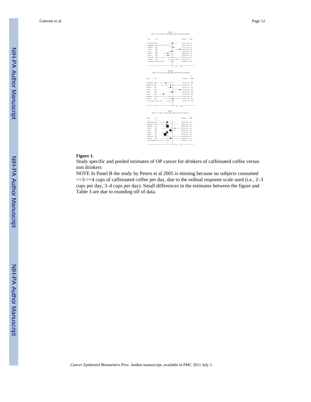

#### **Figure 1.**

Study specific and pooled estimates of OP cancer for drinkers of caffeinated coffee versus non drinkers

NOTE In Panel B the study by Peters et al 2005 is missing because no subjects consumed  $\epsilon$ =3->=4 cups of caffeinated coffee per day, due to the ordinal response scale used (i.e., 2–3) cups per day, 3–4 cups per day). Small differences in the estimates between the figure and Table 3 are due to rounding off of data.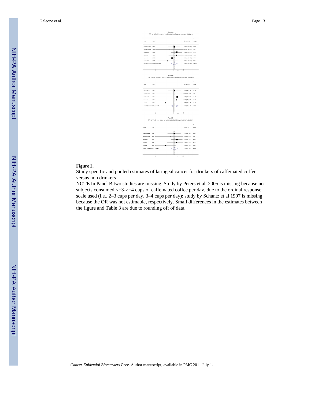Story<br>S Year ES (95% C) Decetti et al<br>Decetti et al<br>Levi et al<br>Cui et al 2003<br>1988<br>2006<br>2006 Owall 4 Panel B OR for >=3-<=4 cups of ca .<br>Decemi et al 2003<br>1000 1.40 (0.04, 2.32) .<br>Levi et al  $\rightarrow$  1.36 (0.57, 3.16) 14.32  $0.40 (0.11, 1.27)$ <br> $1.12 (0.82, 1.56)$  $\alpha$  $\frac{1}{2000}$  $11.60$ Panel B<br>OR for >=3-<=4 cups of caffeinated coffee non drinker 29.0 1.11 (8.50, 1.99)  $\overline{1}$  $2004 \quad \in$   $2000$ <br> $1000$ <br> $2008 \quad \in$  $-1.40 (0.04, 2.32)$ <br> $\rightarrow 1.36 (0.57, 2.35)$  $41.04$ <br> $14.32$ loresi et a ٠ .<br>Levi et al  $rac{1}{2}$  $0.40\ (0.10, 1.27)$   $1.13\ (0.82, 1.90)$ 11.60  $10000$ 

#### OR for >0-<3 cups of cat

#### **Figure 2.**

Study specific and pooled estimates of laringeal cancer for drinkers of caffeinated coffee versus non drinkers

NOTE In Panel B two studies are missing. Study by Peters et al. 2005 is missing because no subjects consumed <=3->=4 cups of caffeinated coffee per day, due to the ordinal response scale used (i.e., 2–3 cups per day, 3–4 cups per day); study by Schantz et al 1997 is missing because the OR was not estimable, respectively. Small differences in the estimates between the figure and Table 3 are due to rounding off of data.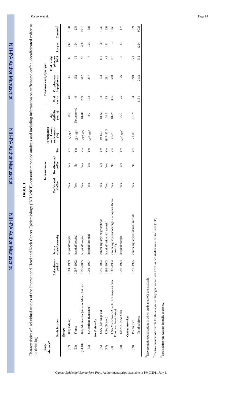NIH-PA Author Manuscript

NIH-PA Author Manuscript

# **TABLE 1**

Characteristics of individual studies of the International Head and Neck Cancer Epidemiology (INHANCE) consortium pooled analysis and including information on caffeinated coffee, decaffeinated coffee or Characteristics of individual studies of the International Head and Neck Cancer Epidemiology (INHANCE) consortium pooled analysis and including information on caffeinated coffee, decaffeinated coffee or tea drinking

| Study                       |                                                                      |                        |                                                              |                                  | Information on            |                |                                                        |                               |                       | Total oral cavity/pharynx |                                      |                            |              |
|-----------------------------|----------------------------------------------------------------------|------------------------|--------------------------------------------------------------|----------------------------------|---------------------------|----------------|--------------------------------------------------------|-------------------------------|-----------------------|---------------------------|--------------------------------------|----------------------------|--------------|
| reference $\boldsymbol{^a}$ | <b>Study location</b>                                                | Reicruitment<br>period | (cases/controls)<br>Source                                   | Caffeinated<br>$_{\rm{Coffree}}$ | Decaffeinated<br>coffee   | Tea            | Participation<br>and controls<br>rate of cases<br>(96) | Age<br>eligibility<br>(years) | <b>Oral</b><br>cavity | hypopharynx<br>Oropharynx | <b>NOS</b><br>pharynx<br>Oral cavity | Larynx                     | $Controls^b$ |
|                             | Europe                                                               |                        |                                                              |                                  |                           |                |                                                        |                               |                       |                           |                                      |                            |              |
| (32)                        | Italy (Milan)                                                        | 1984-1989              | hospital/hospital                                            | Yes                              | Yes                       | Yes            | $95^c - 95^c$                                          | $_{80}$                       | 48                    | 5                         | 65                                   | 242                        | 1531         |
| (33)                        | France                                                               | 1987-1992              | hospital/hospital                                            | Yes                              | $\tilde{z}$               | Yes            | $95^{c} - 95^{c}$                                      | Not reported                  | 49                    | 102                       | $\overline{18}$                      | 154                        | 234          |
| (34, 40)                    | Italy Multicenter (Aviano, Milan, Latina)                            | 1990-2005              | hospital/hospital                                            | Yes                              | Yes                       | Yes            | $>95^c - 95$                                           | $18 - 80$                     | 209                   | 502                       | $\infty$                             | 460                        | 2716         |
| (35)                        | Switzerland (Lausanne)                                               | 1991-1997              | hospital/hospital                                            | Yes                              | Yes                       | Yes            | $95^c - 95^c$                                          | $\frac{80}{5}$                | 138                   | 247                       | Γ                                    | 124                        | 883          |
|                             | North America                                                        |                        |                                                              |                                  |                           |                |                                                        |                               |                       |                           |                                      |                            |              |
| (36)                        | USA (Los Angeles)                                                    | 1999-2004              | cancer registry/ neighborhood                                | Yes                              | Yes                       | $\mathbf{Yes}$ | 49-67.5                                                | $18 - 65$                     | 53                    | 173                       | 112                                  | $\boldsymbol{\mathcal{S}}$ | 1040         |
| (37)                        | USA (Boston)                                                         | 1999-2003              | hospital/residential records                                 | Yes                              | Yes                       | Yes            | 88.7-87.3                                              | $\geq 18$                     | 139                   | 291                       | 43                                   | Ξ                          | 659          |
| $\widehat{\in}$             | USA Multicenter (Atlanta, Los Angeles, San<br>Francisco, New Jersey) | 1983-1984              | cancer registry/random digit dialing-healthcare<br>financing | Yes                              | $\tilde{z}$               | Yes            | $75 - 76$                                              | $18 - 79$                     | 386                   | 510                       | 218                                  | ı                          | 1268         |
| (38)                        | MSKCC New York                                                       | 1992-1994              | hospital/hospital                                            | Yes                              | Yes                       | Yes            | $95^{c} - 95^{c}$                                      | $>20$                         | 75                    | 26                        | N                                    | 43                         | 176          |
|                             | Central America                                                      |                        |                                                              |                                  |                           |                |                                                        |                               |                       |                           |                                      |                            |              |
| (39)                        | Puerto Rico                                                          | 1992-1995              | cancer registry/residential records                          | Yes                              | $\mathsf{S}^{\mathsf{o}}$ | Yes            | $71 - 83$                                              | $21 - 79$                     | 54                    | 200                       | 521                                  |                            | 521          |
|                             | <b>Total subjects</b>                                                |                        |                                                              |                                  |                           |                |                                                        |                               | 1191                  | 2112                      | 612                                  | 1224                       | 9028         |

 $a_{\text{Representative}}$  publications in which study methods are available. Kepr

 $h$ The total number of controls for the analyses on laryngeal cancer was 7239, as two studies were not included (1,39).  $^b$ The total number of controls for the analyses on laryngeal cancer was 7239, as two studies were not included (1,39).

 $\emph{c}$  <br>participation rate was not formally assessed. *c*Participation rate was not formally assessed.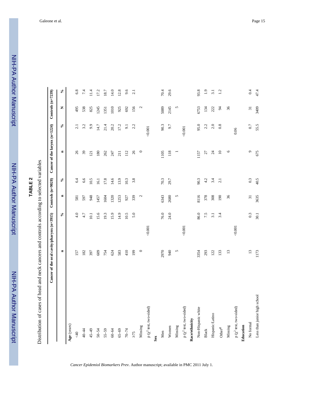# NIH-PA Author ManuscriptNIH-PA Author Manuscript

NIH-PA Author Manuscript

NIH-PA Author Manuscript

|                                | Cancer of the oral cavity/pharynx (n=3915) |                 |                 | Controls $(n=9028)$ | Cancer of the larynx (n=1224) |                 | Controls (n=7239) |                            |
|--------------------------------|--------------------------------------------|-----------------|-----------------|---------------------|-------------------------------|-----------------|-------------------|----------------------------|
|                                | $\blacksquare$                             | $\mathcal{S}_0$ | $\blacksquare$  | $\mathcal{S}_0$     | $\blacksquare$                | $\mathcal{S}_0$ | Z                 | $\mathcal{S}_{\mathbf{0}}$ |
| Age (years)                    |                                            |                 |                 |                     |                               |                 |                   |                            |
| $rac{40}{5}$                   | 157                                        | 4.0             | 581             | 6.4                 | 26                            | 2.1             | 495               | $6.8\,$                    |
| 40-44                          | 182                                        | 4.7             | 597             | 6.6                 | 39                            | 3.2             | 538               | 7.4                        |
| $45 - 49$                      | 397                                        | 10.1            | 948             | 10.5                | 121                           | 9.9             | 825               | 11.4                       |
| $50 - 54$                      | 609                                        | 15.6            | 1457            | 16.1                | 180                           | 14.7            | 1245              | 17.2                       |
| $55 - 59$                      | 754                                        | 19.3            | 1604            | 17.8                | 262                           | 21.4            | 1351              | 18.7                       |
| $60 - 64$                      | 624                                        | 15.9            | 1320            | 14.6                | 247                           | 20.2            | 1010              | 14.0                       |
| $65 - 69$                      | 583                                        | 14.9            | 1253            | 13.9                | 211                           | 17.2            | 925               | 12.8                       |
| $70 - 74$                      | 410                                        | 10.5            | 927             | 10.3                | 112                           | 9.1             | 692               | 9.6                        |
| $\geq$ 75                      | 199                                        | 5.0             | 339             | 3.8                 | 26                            | 2.2             | 156               | 2.1                        |
| Missing                        | $\circ$                                    |                 | $\mathcal{L}$   |                     | $\circ$                       |                 | $\mathcal{L}$     |                            |
| p ( $\chi^2$ test, two-sided)  |                                            | 0.001           |                 |                     |                               | 0.001           |                   |                            |
| Sex                            |                                            |                 |                 |                     |                               |                 |                   |                            |
| Men                            | 2970                                       | 76.0            | 6343            | 70.3                | 1105                          | 90.3            | 5089              | 70.4                       |
| Women                          | 940                                        | 24.0            | 2680            | 29.7                | 118                           | 9.7             | 2145              | 29.6                       |
| Missing                        | 5                                          |                 | $\sim$          |                     |                               |                 | $\mathbf{v}$      |                            |
| p ( $\chi^2$ test, two-sided)  |                                            | 0.001           |                 |                     |                               | 0.001           |                   |                            |
| Race/ethnicity                 |                                            |                 |                 |                     |                               |                 |                   |                            |
| Non-Hispanic white             | 3354                                       | 86.0            | 8116            | 90.3                | 1157                          | 95.0            | 6753              | 93.8                       |
| <b>Black</b>                   | 293                                        | 7.5             | 378             | 4.2                 | 27                            | 2.2             | 134               | $\ddot{1}$ .9              |
| Hispanic/Latino                | 122                                        | 3.1             | 308             | 3.4                 | $\overline{c}$                | $2.0\,$         | 222               | 3.1                        |
| $\mathrm{Order}^{\mathcal{A}}$ | 133                                        | 3.4             | 190             | 2.1                 | $\square$                     | 0.8             | 24                | 1.2                        |
| Missing                        | 13                                         |                 | 36              |                     | $\circ$                       |                 | 36                |                            |
| p ( $\chi^2$ test, two-sided)  |                                            | 0.001           |                 |                     |                               | 0.06            |                   |                            |
| Education                      |                                            |                 |                 |                     |                               |                 |                   |                            |
| No formal                      | $\overline{13}$                            | 0.3             | $\overline{31}$ | 0.3                 | $\sigma$                      | 0.7             | $\overline{31}$   | $0.4\,$                    |
| Less than junior high school   | 1173                                       | 30.1            | 3635            | 40.5                | 675                           | 55.5            | 3409              | 47.4                       |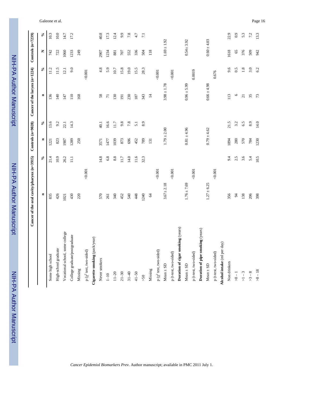|                                        | Cancer of the oral cavity/pharynx (n=3915) |                          | Controls (n=9028) |                          | Cancer of the larynx (n=1224) |                            | Controls $(n=7239)$ |                            |
|----------------------------------------|--------------------------------------------|--------------------------|-------------------|--------------------------|-------------------------------|----------------------------|---------------------|----------------------------|
|                                        | $\blacksquare$                             | $\mathcal{S}_\mathbf{e}$ | $\blacksquare$    | $\mathcal{S}_\mathbf{e}$ | $\blacksquare$                | $\mathcal{S}_{\mathbf{0}}$ | z                   | $\mathcal{S}_{\mathbf{0}}$ |
| Some high school                       | 835                                        | 21.4                     | 1221              | 13.6                     | 136                           | 11.2                       | 742                 | 10.3                       |
| High-school graduate                   | 426                                        | 10.9                     | 823               | 9.2                      | 140                           | 11.5                       | 722                 | 10.0                       |
| Vocational school, some college        | 1021                                       | 26.2                     | 1987              | 22.1                     | 147                           | 12.1                       | 1060                | 14.7                       |
| College graduate/postgraduate          | 430                                        | $\Xi$                    | 1289              | 14.3                     | 110                           | 9.0                        | 1233                | 17.2                       |
| Missing                                | 220                                        |                          | 250               |                          | 168                           |                            | 249                 |                            |
| p ( $\chi^2$ test, two-sided)          | 0.001                                      |                          |                   |                          |                               | 0.001                      |                     |                            |
| Cigarette smoking (pack/year)          |                                            |                          |                   |                          |                               |                            |                     |                            |
| Never smokers                          | 570                                        | 14.8                     | 3571              | 40.1                     | 58                            | 4.8                        | 2907                | 40.8                       |
| $1\hspace{-0.08cm}-\hspace{-0.08cm}10$ | 261                                        | 6.8                      | 1477              | 16.6                     | $\overline{7}$                | 5.9                        | 1234                | 17.3                       |
| $11 - 20$                              | 340                                        | 8.8                      | 1039              | 11.7                     | 130                           | $10.7\,$                   | 881                 | 12.4                       |
| $21 - 30$                              | 452                                        | 11.7                     | 873               | 9.8                      | 191                           | 15.8                       | 707                 | 9.9                        |
| $31 - 40$                              | 540                                        | 14.0                     | 696               | 7.8                      | 230                           | 19.0                       | 552                 | $7.8\,$                    |
| $41 - 50$                              | 448                                        | 11.6                     | 452               | $\overline{5.1}$         | 187                           | 15.5                       | 336                 | 4.7                        |
| $>50$                                  | 1240                                       | 32.3                     | 789               | 8.9                      | 343                           | 28.3                       | 504                 | $\overline{71}$            |
| Missing                                | $\mathcal{Z}$                              |                          | 131               |                          | $\overline{4}$                |                            | $118$               |                            |
| p ( $\chi^2$ test, two-sided)          | 0.001                                      |                          |                   |                          |                               | 0.001                      |                     |                            |
| $Mean \pm SD$                          | $3.67 + 2.18$                              |                          | $1.79 \pm 2.00$   |                          | $3.98 \pm 1.78$               |                            | $1.69 \pm 1.92$     |                            |
| p (t-test, two-sided)                  | 0.001                                      |                          |                   |                          |                               | 0.001                      |                     |                            |
| Duration of cigar smoking (years)      |                                            |                          |                   |                          |                               |                            |                     |                            |
| $Mean \pm SD$                          | $1.76 \pm 7.69$                            |                          | $0.81 \pm 4.96$   |                          | $0.96 \pm 5.99$               |                            | $0.54 + 3.92$       |                            |
| p (t-test, two-sided)                  | 0.001                                      |                          |                   |                          |                               | 0.0019                     |                     |                            |
| Duration of pipe smoking (years)       |                                            |                          |                   |                          |                               |                            |                     |                            |
| $Mean \pm SD$                          | $1.27 \pm 6.25$                            |                          | $0.79 \pm 4.62$   |                          | $0.66 \pm 4.98$               |                            | $0.60 \pm 4.03$     |                            |
| p (t-test, two-sided)                  | 0.001                                      |                          |                   |                          |                               | 0.676                      |                     |                            |
| Alcohol intake (ml per day)            |                                            |                          |                   |                          |                               |                            |                     |                            |
| Non drinkers                           | 356                                        | 9.4                      | 1894              | 21.5                     | 113                           | 9.6                        | 1618                | 22.9                       |
| $-1$                                   | $\frac{4}{3}$                              | 2.5                      | 280               | 3.2                      | $\circ$                       | 0.5                        | 65                  | 0.9                        |
| $>1-3$                                 | 138                                        | 3.6                      | 570               | 6.5                      | $\overline{21}$               | $1.8\,$                    | 376                 | 5.3                        |
| $>3-8$                                 | 206                                        | 5.4                      | 784               | 8.9                      | 35                            | 3.0                        | 509                 | 7.2                        |
| $>8 - 18$                              | 398                                        | 10.5                     | 1230              | 14.0                     | 73                            | 6.2                        | 942                 | 13.3                       |

Galeone et al. Page 16

 NIH-PA Author Manuscript NIH-PA Author Manuscript

 $\mathsf{l}$ 

NIH-PA Author Manuscript

NIH-PA Author Manuscript

NIH-PA Author Manuscript

NIH-PA Author Manuscript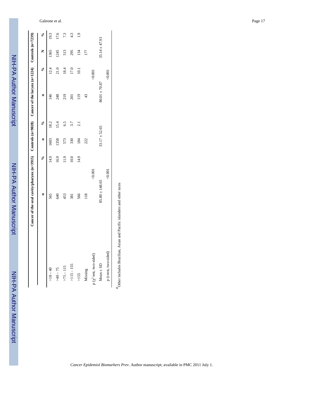|                        | Cancer of the oral cavity/pharynx (n=3915) Controls (n=9028) Cancer of the larynx (n=1224) Controls (n=7239) |       |                   |                 |                   |          |                   |      |
|------------------------|--------------------------------------------------------------------------------------------------------------|-------|-------------------|-----------------|-------------------|----------|-------------------|------|
|                        | $\blacksquare$                                                                                               | ⊱°    | E                 | $\epsilon$      |                   | ⊱°       | Z                 | ℅    |
| $-18 - 40$             | 565                                                                                                          | 14.9  | 1603              | 8.2             | 146               | 12.4     | 1365              | 19.3 |
| $56 - 075$             | 640                                                                                                          | 16.9  | 1358              | 15.4            | 248               | 21.0     | 1245              | 17.6 |
| $>75 - 115$            | 453                                                                                                          | 11.9  | 573               | 65              | 219               | 18.4     | 513               | 7.3  |
| $>115 - 155$           | 381                                                                                                          | 10.0  | 330               | 3.7             | 201               | 17.0     | 295               | 4.3  |
| >155                   | 566                                                                                                          | 14.9  | 184               | $\overline{21}$ | 119               | $\Xi$    | 134               | ڣ    |
| Missing                | $\frac{18}{11}$                                                                                              |       | 222               |                 | 43                |          | 177               |      |
| p (x' test, two-sided) |                                                                                                              | 0.001 |                   |                 |                   | $-0.001$ |                   |      |
| $Mean \pm SD$          | $85.80 \pm 148.65$                                                                                           |       | $33.17 \pm 52.65$ |                 | $80.01 \pm 70.87$ |          | $35.14 \pm 47.93$ |      |
| p (t-test, two-sided)  |                                                                                                              | 0.001 |                   |                 |                   | <0.001   |                   |      |
|                        |                                                                                                              |       |                   |                 |                   |          |                   |      |

Other includes Brazilian, Asian and Pacific islanders and other races *a*Other includes Brazilian, Asian and Pacific islanders and other races

NIH-PA Author Manuscript

NIH-PA Author Manuscript

NIH-PA Author Manuscript

NIH-PA Author Manuscript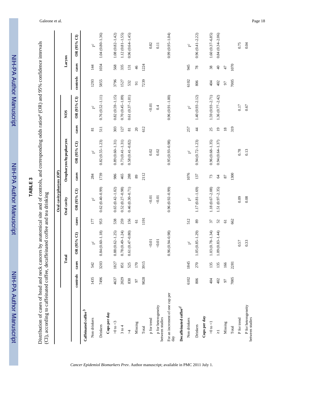| HH-PA<br>NH-PA Author Manuscript       |
|----------------------------------------|
| †H-P<br><b>NH-PA Author Manuscript</b> |

| a interval<br>rs by anatomical site and of controls, and corresponding odds ratios <sup><math>a</math></sup> (OR) and 95% confider<br>م<br>ک | a coffee and tea drinking<br>Š |  |
|----------------------------------------------------------------------------------------------------------------------------------------------|--------------------------------|--|
| istribution of cases of head and                                                                                                             |                                |  |

|                                        |          |       |                          |                | Oral cavity/pharynx (OP) |               |                          |                         |                          |                |                |                     |
|----------------------------------------|----------|-------|--------------------------|----------------|--------------------------|---------------|--------------------------|-------------------------|--------------------------|----------------|----------------|---------------------|
|                                        |          |       | Total                    |                | Oral cavity              |               | Oropharynx/hypopharynx   |                         | <b>NOS</b>               |                | Larynx         |                     |
|                                        | controls | cases | OR (95% CI)              | cases          | $OR$ (95% CI)            | cases         | OR (95% CI)              | cases                   | OR (95% CI)              | controls       | cases          | OR (95% CI)         |
| Caffeinated coffee $\it{^b}$           |          |       |                          |                |                          |               |                          |                         |                          |                |                |                     |
| Non drinkers                           | 1435     | 542   | $1\,c$                   | 177            | $1\,c$                   | 284           | $\overline{\phantom{a}}$ | $\overline{\mathbf{s}}$ | $\overline{\phantom{a}}$ | 1293           | $\overline{4}$ | $\mathfrak{l}^c$    |
| Drinkers                               | 7496     | 3203  | $0.84(0.60 - 1.18)$      | 953            | $0.62(0.40-0.99)$        | 1739          | $0.82(0.55 - 1.23)$      | 511                     | $0.76(0.52 - 1.11)$      | 5855           | 1034           | $1.04(0.80 - 1.36)$ |
| Cups per day                           |          |       |                          |                |                          |               |                          |                         |                          |                |                |                     |
| $>0$ to $<$                            | 4637     | 1827  | $0.88(0.62 - 1.25)$      | 538            | $0.65(0.42 - 1.02)$      | 986           | $0.89(0.60 - 1.31)$      | 303                     | $0.82(0.59 - 1.15)$      | 3796           | 568            | $1.08(0.82 - 1.42)$ |
| 3 to 4                                 | 2029     | 851   | $0.78(0.49 - 1.24)$      | 259            | $0.52(0.27 - 0.98)$      | 465           | $0.73(0.41 - 1.31)$      | 127                     | $0.70(0.45 - 1.09)$      | 1527           | 335            | $1.12(0.81 - 1.55)$ |
| $\overline{\lambda}$                   | 830      | 525   | $0.61(0.47-0.80)$        | 156            | $0.46(0.30 - 0.71)$      | 288           | $0.58(0.41 - 0.82)$      | $\overline{81}$         | $0.61(0.37 - 1.01)$      | 532            | 131            | $0.96(0.64 - 1.45)$ |
| Missing                                | 97       | 170   |                          | $\overline{6}$ |                          | 89            |                          | $\Omega$                |                          | $\overline{5}$ | 46             |                     |
| Total                                  | 9028     | 3915  |                          | 1191           |                          | 2112          |                          | 612                     |                          | 7239           | 1224           |                     |
| p for trend                            |          |       | $-0.01$                  |                | $<0.01$                  |               | 0.02                     |                         | 0.01                     |                |                | 0.82                |
| p for heterogeneity<br>between studies |          |       | 0.01                     |                | $<0.01$                  |               | 0.02                     |                         | $0.4\,$                  |                |                | 0.11                |
| For an increment of one cup per<br>day |          |       | $0.96(0.94 - 0.98)$      |                | $0.96(0.92 - 0.99)$      |               | $0.95(0.93 - 0.98)$      |                         | $0.96(0.91 - 1.00)$      |                |                | $0.99(0.95 - 1.04)$ |
| Decaffeinated coffee <sup>d</sup>      |          |       |                          |                |                          |               |                          |                         |                          |                |                |                     |
| Non drinkers                           | 6102     | 1845  | $\overline{\phantom{a}}$ | 512            | 1 <sup>c</sup>           | 1076          | 1 <sup>c</sup>           | 257                     | 1 <sup>c</sup>           | 6102           | 945            | $\mathbf{L}$        |
| Drinkers                               | 806      | 270   | $1.05(0.85 - 1.29)$      | 89             | $1.17(0.81 - 1.69)$      | 137           | $0.94(0.72 - 1.23)$      | $\frac{4}{3}$           | $1.40(0.93 - 2.12)$      | 806            | 78             | $0.96(0.41 - 2.22)$ |
| Cups per day                           |          |       |                          |                |                          |               |                          |                         |                          |                |                |                     |
| $> 0$ to $< 1$                         | 404      | 135   | $1.03(0.78 - 1.34)$      | 37             | $1.18(0.67 - 2.08)$      | 73            | $0.96(0.68 - 1.35)$      | 25                      | $1.59(0.93 - 2.71)$      | 404            | 38             | $1.60(0.37 - 6.85)$ |
| $\overline{\lambda}$                   | 402      | 135   | $1.09(0.83 - 1.44)$      | 52             | $1.51(0.97 - 2.35)$      | $\mathcal{A}$ | $0.94(0.64 - 1.37)$      | $\overline{19}$         | $1.36(0.77 - 2.42)$      | 402            | $\overline{4}$ | $0.84(0.34 - 2.06)$ |
| Missing                                | 50       | 166   |                          | $\overline{6}$ |                          | 87            |                          | $18\,$                  |                          | 97             | 47             |                     |
| Total                                  | 7005     | 2281  |                          | 662            |                          | 1300          |                          | 319                     |                          | 7005           | 1070           |                     |
| P for trend                            |          |       | 0.57                     |                | 0.09                     |               | 0.78                     |                         | 0.17                     |                |                | 0.75                |
| P for heterogeneity<br>between studies |          |       | 0.33                     |                | 0.08                     |               | 0.13                     |                         | 0.67                     |                |                | 0.04                |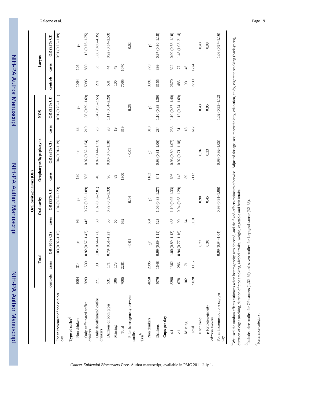| <b>Holliph</b> |
|----------------|
|                |
|                |
|                |
|                |
|                |
|                |
|                |
|                |
|                |
|                |
|                |
|                |
| <u>ומ</u>      |
|                |
|                |
|                |
|                |
|                |
|                |
| ≥<br>?         |
|                |
|                |
|                |
|                |
| Ē              |
|                |
|                |
|                |
|                |

**Oral cavity/pharynx (OP)**

Oral cavity/pharynx (OP)

| $rac{S}{S}$          |
|----------------------|
|                      |
|                      |
|                      |
|                      |
|                      |
|                      |
|                      |
|                      |
|                      |
|                      |
|                      |
|                      |
| ֞ <u>֓</u> ֓֝֘֝֘֝֟׆֧ |
|                      |
|                      |
|                      |
|                      |
|                      |
| $\frac{1}{2}$        |
|                      |
|                      |
|                      |
| İ                    |
|                      |
|                      |
|                      |
|                      |
|                      |

|                                                                                                                                                                                                                                                                                                                       |          | Total            |                     |               | Oral cavity         |            | Oropharynx/hypopharynx |                 | <b>NOS</b>          |          |                | Larynx              |
|-----------------------------------------------------------------------------------------------------------------------------------------------------------------------------------------------------------------------------------------------------------------------------------------------------------------------|----------|------------------|---------------------|---------------|---------------------|------------|------------------------|-----------------|---------------------|----------|----------------|---------------------|
|                                                                                                                                                                                                                                                                                                                       | controls | cases            | OR (95% CI)         | cases         | OR (95% CI)         | cases      | OR (95% CI)            | cases           | OR (95% CI)         | controls | cases          | OR (95% CI)         |
| For an increment of one cup per<br>day                                                                                                                                                                                                                                                                                |          |                  | $1.03(0.92 - 1.15)$ |               | $1.04(0.87 - 1.23)$ |            | $1.04(0.91 - 1.19)$    |                 | $0.91(0.75 - 1.11)$ |          |                | $0.91(0.75 - 1.09)$ |
| Type of coffee $\bm{d}$                                                                                                                                                                                                                                                                                               |          |                  |                     |               |                     |            |                        |                 |                     |          |                |                     |
| Non drinkers                                                                                                                                                                                                                                                                                                          | 1004     | 314              | $\mathbf{L}$        | 96            | $\tilde{c}$         | 180        | $\tilde{c}$            | 38              | $\tilde{a}$         | 1004     | 105            | $\tilde{c}$         |
| Only caffeinated coffee<br>drinkers                                                                                                                                                                                                                                                                                   | 5093     | 1530             | $0.92(0.57 - 1.47)$ | 416           | $0.77(0.55 - 1.09)$ | 895        | $0.92(0.52 - 1.54)$    | 219             | $1.08(0.69 - 1.69)$ | 5093     | 839            | $1.15(0.76 - 1.75)$ |
| Only decaffeinated coffee<br>drinkers                                                                                                                                                                                                                                                                                 | 271      | 93               | $1.05(0.64 - 1.71)$ | $\sqrt{30}$   | $1.02(0.52 - 2.01)$ | $\sqrt{4}$ | $0.87(0.44 - 1.73)$    | 23              | $1.84(0.95 - 3.55)$ | 271      | 33             | $1.86(0.80 - 4.35)$ |
| Drinkers of both types                                                                                                                                                                                                                                                                                                | 531      | $\overline{171}$ | $0.79(0.51 - 1.21)$ | 55            | $0.72(0.39 - 1.33)$ | 96         | $0.80(0.46 - 1.38)$    | $20\,$          | 1.11 (0.54-2.29)    | 531      | $\ddot{4}$     | $0.92(0.34 - 2.53)$ |
| Missing                                                                                                                                                                                                                                                                                                               | 106      | 173              |                     | 65            |                     | 89         |                        | $\overline{0}$  |                     | 106      | $\overline{6}$ |                     |
| Total                                                                                                                                                                                                                                                                                                                 | 7005     | 2281             |                     | 662           |                     | 1300       |                        | 319             |                     | 7005     | 1070           |                     |
| P for heterogeneity between<br>studies                                                                                                                                                                                                                                                                                |          |                  | 0.01                |               | 0.14                |            | $-0.01$                |                 | 0.25                |          |                | 0.02                |
| $\mathrm{Tea}^b$                                                                                                                                                                                                                                                                                                      |          |                  |                     |               |                     |            |                        |                 |                     |          |                |                     |
| Non drinkers                                                                                                                                                                                                                                                                                                          | 4850     | 2096             | $\mathbf{r}$        | 604           | $\mathbf{r}$        | 1182       | 1 <sup>c</sup>         | 310             | $\tilde{c}$         | 3991     | 779            | $\overline{c}$      |
| Drinkers                                                                                                                                                                                                                                                                                                              | 4076     | 1648             | $0.99(0.89 - 1.11)$ | 523           | $1.06(0.88 - 1.27)$ | 841        | $0.93(0.81 - 1.06)$    | 284             | 1.10 (0.88-1.39)    | 3155     | 399            | $0.97(0.80 - 1.18)$ |
| Cups per day                                                                                                                                                                                                                                                                                                          |          |                  |                     |               |                     |            |                        |                 |                     |          |                |                     |
| $\overline{\mathsf{v}}$                                                                                                                                                                                                                                                                                               | 3398     | 1362             | $1.00(0.89 - 1.13)$ | 433           | $1.10(0.92 - 1.33)$ | 696        | $0.93(0.80 - 1.07)$    | 233             | $1.10(0.87 - 1.40)$ | 2670     | 322            | $0.90(0.73 - 1.10)$ |
| $\overline{\wedge}$                                                                                                                                                                                                                                                                                                   | 678      | 286              | $0.94(0.77 - 1.16)$ | $\infty$      | $0.94(0.68 - 1.29)$ | 145        | $0.92(0.71 - 1.18)$    | $\overline{5}$  | $1.12(0.74 - 1.69)$ | 485      | 77             | $1.48(1.03 - 2.14)$ |
| Missing                                                                                                                                                                                                                                                                                                               | 102      | 171              |                     | $\mathcal{L}$ |                     | 89         |                        | $\overline{18}$ |                     | 93       | 46             |                     |
| Total                                                                                                                                                                                                                                                                                                                 | 9028     | 3915             |                     | 1191          |                     | 2112       |                        | 612             |                     | 7239     | 1224           |                     |
| P for trend                                                                                                                                                                                                                                                                                                           |          |                  | 0.72                |               | 0.90                |            | 0.36                   |                 | 0.43                |          |                | 0.40                |
| p for heterogeneity<br>between studies                                                                                                                                                                                                                                                                                |          |                  | 0.30                |               | 0.45                |            | 0.23                   |                 | 0.95                |          |                | $0.08\,$            |
| For an increment of one cup per<br>day                                                                                                                                                                                                                                                                                |          |                  | $0.99(0.94 - 1.04)$ |               | $0.98(0.91 - 1.06)$ |            | $0.98(0.92 - 1.05)$    |                 | $1.02(0.93 - 1.12)$ |          |                | 1.06 (0.97-1.16)    |
| We used the random effects estimates when heterogeneity was detected, and the fixed-effects estimates otherwise. Adjusted for age, sex, race/ethnicity, education, study, cigarette smoking (pack-years),<br>duration of cigar smoking, duration of pipe smoking, alcohol intake, weight, vegetable and fruit intake. |          |                  |                     |               |                     |            |                        |                 |                     |          |                |                     |

*Cancer Epidemiol Biomarkers Prev*. Author manuscript; available in PMC 2011 July 1.

 $^{\prime}$  Reference category.  $c$ Reference category.

duration of cigar smoking, duration of pipe smoking, alcohol intake, weight, vegetable and fruit intake.  $b<sub>I</sub>$  Includes nine studies for OP cancers (1,32–39) and seven studies for laryngeal cancer (32–38).

 $b$  ncludes nine studies for OP cancers (1,32–39) and seven studies for laryngeal cancer (32–38).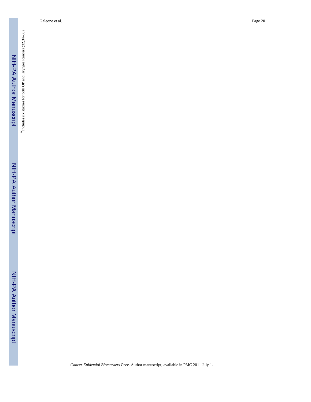$d_{\mbox{\footnotesize{Includes}}}$  six studies for both OP and larynge<br>al cancers (32,34–38) *d*Includes six studies for both OP and laryngeal cancers (32,34–38)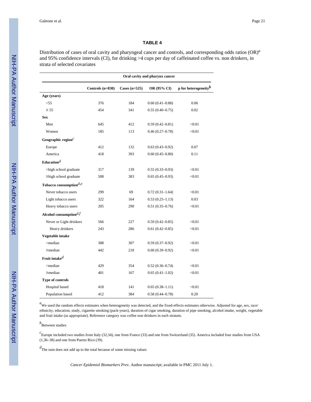#### **TABLE 4**

Distribution of cases of oral cavity and pharyngeal cancer and controls, and corresponding odds ratios (OR)*<sup>a</sup>* and 95% confidence intervals (CI), for drinking >4 cups per day of caffeinated coffee vs. non drinkers, in strata of selected covariates

|                                                                                                                             | Oral cavity and pharynx cancer |                 |                     |                          |
|-----------------------------------------------------------------------------------------------------------------------------|--------------------------------|-----------------|---------------------|--------------------------|
|                                                                                                                             | Controls $(n=830)$             | Cases $(n=525)$ | OR (95% CI)         | p for heterogeneity $^b$ |
| Age (years)                                                                                                                 |                                |                 |                     |                          |
| $<$ 55                                                                                                                      | 376                            | 184             | $0.60(0.41 - 0.88)$ | 0.06                     |
| $\geq 55$                                                                                                                   | 454                            | 341             | $0.55(0.40-0.75)$   | 0.02                     |
| <b>Sex</b>                                                                                                                  |                                |                 |                     |                          |
| Men                                                                                                                         | 645                            | 412             | $0.59(0.42 - 0.81)$ | < 0.01                   |
| Women                                                                                                                       | 185                            | 113             | $0.46(0.27-0.78)$   | < 0.01                   |
| Geographic region $c$                                                                                                       |                                |                 |                     |                          |
| Europe                                                                                                                      | 412                            | 132             | $0.63(0.43 - 0.92)$ | 0.07                     |
| America                                                                                                                     | 418                            | 393             | $0.60(0.45 - 0.80)$ | 0.11                     |
| Education $d$                                                                                                               |                                |                 |                     |                          |
| <high graduate<="" school="" td=""><td>317</td><td>139</td><td><math>0.55(0.33 - 0.93)</math></td><td>&lt; 0.01</td></high> | 317                            | 139             | $0.55(0.33 - 0.93)$ | < 0.01                   |
| $\geq$ high school graduate                                                                                                 | 508                            | 383             | $0.65(0.45-0.93)$   | < 0.01                   |
| Tobacco consumption $d,e$                                                                                                   |                                |                 |                     |                          |
| Never tobacco users                                                                                                         | 299                            | 69              | $0.72(0.31-1.64)$   | < 0.01                   |
| Light tobacco users                                                                                                         | 322                            | 164             | $0.53(0.25-1.13)$   | 0.03                     |
| Heavy tobacco users                                                                                                         | 205                            | 290             | $0.51(0.35 - 0.76)$ | < 0.01                   |
| Alcohol consumption $df$                                                                                                    |                                |                 |                     |                          |
| Never or Light drinkers                                                                                                     | 566                            | 227             | $0.59(0.42 - 0.85)$ | < 0.01                   |
| Heavy drinkers                                                                                                              | 243                            | 286             | $0.61(0.42 - 0.85)$ | < 0.01                   |
| Vegetable intake                                                                                                            |                                |                 |                     |                          |
| <median< td=""><td>388</td><td>307</td><td><math>0.59(0.37-0.92)</math></td><td>&lt; 0.01</td></median<>                    | 388                            | 307             | $0.59(0.37-0.92)$   | < 0.01                   |
| $\geq$ median                                                                                                               | 442                            | 218             | $0.60(0.39 - 0.92)$ | < 0.01                   |
| Fruit intake $d$                                                                                                            |                                |                 |                     |                          |
| <median< td=""><td>429</td><td>354</td><td><math>0.52(0.36 - 0.74)</math></td><td>&lt; 0.01</td></median<>                  | 429                            | 354             | $0.52(0.36 - 0.74)$ | < 0.01                   |
| $\geq$ median                                                                                                               | 401                            | 167             | $0.65(0.41-1.02)$   | < 0.01                   |
| Type of controls                                                                                                            |                                |                 |                     |                          |
| Hospital based                                                                                                              | 418                            | 141             | $0.65(0.38 - 1.11)$ | < 0.01                   |
| Population based                                                                                                            | 412                            | 384             | $0.58(0.44 - 0.78)$ | 0.20                     |

 ${}^{a}$ We used the random effects estimates when heterogeneity was detected, and the fixed-effects estimates otherwise. Adjusted for age, sex, race/ ethnicity, education, study, cigarette smoking (pack-years), duration of cigar smoking, duration of pipe smoking, alcohol intake, weight, vegetable and fruit intake (as appropriate). Reference category was coffee non drinkers in each stratum.

#### *b* Between studies

*c* Europe included two studies from Italy (32,34), one from France (33) and one from Switzerland (35). America included four studies from USA (1,36–38) and one from Puerto Rico (39).

*d*The sum does not add up to the total because of some missing values